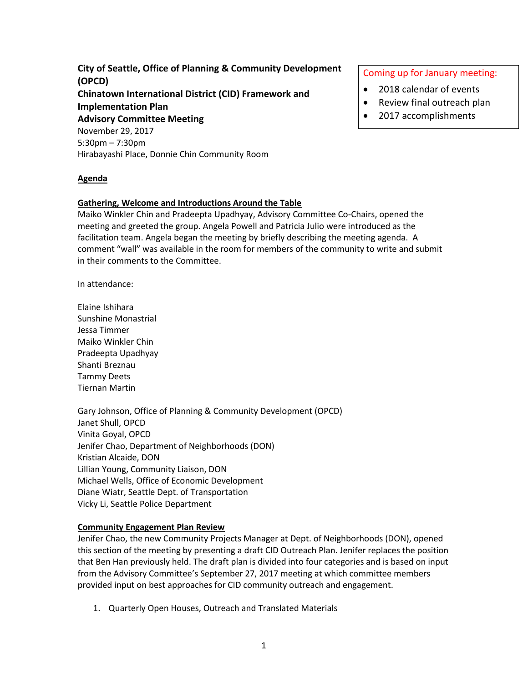**City of Seattle, Office of Planning & Community Development (OPCD) Chinatown International District (CID) Framework and Implementation Plan Advisory Committee Meeting** November 29, 2017 5:30pm – 7:30pm Hirabayashi Place, Donnie Chin Community Room

#### **Agenda**

### **Gathering, Welcome and Introductions Around the Table**

Maiko Winkler Chin and Pradeepta Upadhyay, Advisory Committee Co-Chairs, opened the meeting and greeted the group. Angela Powell and Patricia Julio were introduced as the facilitation team. Angela began the meeting by briefly describing the meeting agenda. A comment "wall" was available in the room for members of the community to write and submit in their comments to the Committee.

In attendance:

Elaine Ishihara Sunshine Monastrial Jessa Timmer Maiko Winkler Chin Pradeepta Upadhyay Shanti Breznau Tammy Deets Tiernan Martin

Gary Johnson, Office of Planning & Community Development (OPCD) Janet Shull, OPCD Vinita Goyal, OPCD Jenifer Chao, Department of Neighborhoods (DON) Kristian Alcaide, DON Lillian Young, Community Liaison, DON Michael Wells, Office of Economic Development Diane Wiatr, Seattle Dept. of Transportation Vicky Li, Seattle Police Department

### **Community Engagement Plan Review**

Jenifer Chao, the new Community Projects Manager at Dept. of Neighborhoods (DON), opened this section of the meeting by presenting a draft CID Outreach Plan. Jenifer replaces the position that Ben Han previously held. The draft plan is divided into four categories and is based on input from the Advisory Committee's September 27, 2017 meeting at which committee members provided input on best approaches for CID community outreach and engagement.

1. Quarterly Open Houses, Outreach and Translated Materials

### Coming up for January meeting:

- 2018 calendar of events
- Review final outreach plan
- 2017 accomplishments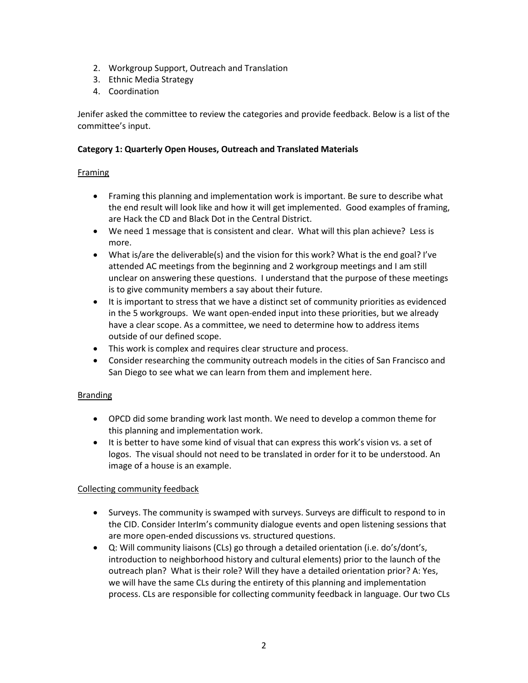- 2. Workgroup Support, Outreach and Translation
- 3. Ethnic Media Strategy
- 4. Coordination

Jenifer asked the committee to review the categories and provide feedback. Below is a list of the committee's input.

### **Category 1: Quarterly Open Houses, Outreach and Translated Materials**

## Framing

- Framing this planning and implementation work is important. Be sure to describe what the end result will look like and how it will get implemented. Good examples of framing, are Hack the CD and Black Dot in the Central District.
- We need 1 message that is consistent and clear. What will this plan achieve? Less is more.
- What is/are the deliverable(s) and the vision for this work? What is the end goal? I've attended AC meetings from the beginning and 2 workgroup meetings and I am still unclear on answering these questions. I understand that the purpose of these meetings is to give community members a say about their future.
- It is important to stress that we have a distinct set of community priorities as evidenced in the 5 workgroups. We want open-ended input into these priorities, but we already have a clear scope. As a committee, we need to determine how to address items outside of our defined scope.
- This work is complex and requires clear structure and process.
- Consider researching the community outreach models in the cities of San Francisco and San Diego to see what we can learn from them and implement here.

## Branding

- OPCD did some branding work last month. We need to develop a common theme for this planning and implementation work.
- It is better to have some kind of visual that can express this work's vision vs. a set of logos. The visual should not need to be translated in order for it to be understood. An image of a house is an example.

## Collecting community feedback

- Surveys. The community is swamped with surveys. Surveys are difficult to respond to in the CID. Consider InterIm's community dialogue events and open listening sessions that are more open-ended discussions vs. structured questions.
- Q: Will community liaisons (CLs) go through a detailed orientation (i.e. do's/dont's, introduction to neighborhood history and cultural elements) prior to the launch of the outreach plan? What is their role? Will they have a detailed orientation prior? A: Yes, we will have the same CLs during the entirety of this planning and implementation process. CLs are responsible for collecting community feedback in language. Our two CLs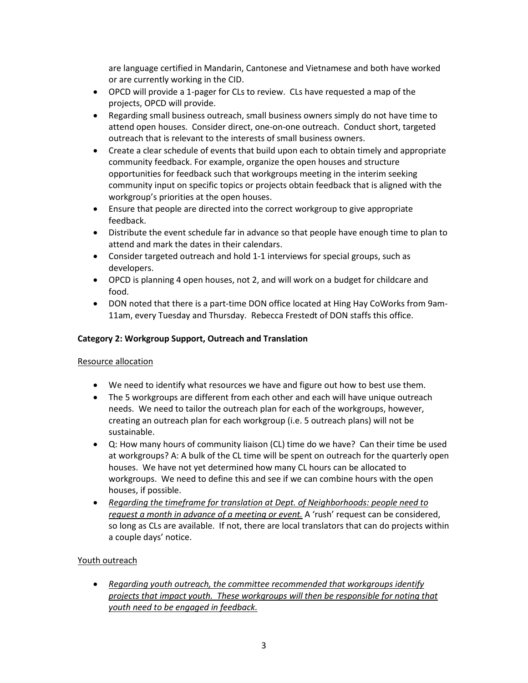are language certified in Mandarin, Cantonese and Vietnamese and both have worked or are currently working in the CID.

- OPCD will provide a 1-pager for CLs to review. CLs have requested a map of the projects, OPCD will provide.
- Regarding small business outreach, small business owners simply do not have time to attend open houses. Consider direct, one-on-one outreach. Conduct short, targeted outreach that is relevant to the interests of small business owners.
- Create a clear schedule of events that build upon each to obtain timely and appropriate community feedback. For example, organize the open houses and structure opportunities for feedback such that workgroups meeting in the interim seeking community input on specific topics or projects obtain feedback that is aligned with the workgroup's priorities at the open houses.
- Ensure that people are directed into the correct workgroup to give appropriate feedback.
- Distribute the event schedule far in advance so that people have enough time to plan to attend and mark the dates in their calendars.
- Consider targeted outreach and hold 1-1 interviews for special groups, such as developers.
- OPCD is planning 4 open houses, not 2, and will work on a budget for childcare and food.
- DON noted that there is a part-time DON office located at Hing Hay CoWorks from 9am-11am, every Tuesday and Thursday. Rebecca Frestedt of DON staffs this office.

### **Category 2: Workgroup Support, Outreach and Translation**

### Resource allocation

- We need to identify what resources we have and figure out how to best use them.
- The 5 workgroups are different from each other and each will have unique outreach needs. We need to tailor the outreach plan for each of the workgroups, however, creating an outreach plan for each workgroup (i.e. 5 outreach plans) will not be sustainable.
- Q: How many hours of community liaison (CL) time do we have? Can their time be used at workgroups? A: A bulk of the CL time will be spent on outreach for the quarterly open houses. We have not yet determined how many CL hours can be allocated to workgroups. We need to define this and see if we can combine hours with the open houses, if possible.
- *Regarding the timeframe for translation at Dept. of Neighborhoods: people need to request a month in advance of a meeting or event.* A 'rush' request can be considered, so long as CLs are available. If not, there are local translators that can do projects within a couple days' notice.

## Youth outreach

• *Regarding youth outreach, the committee recommended that workgroups identify projects that impact youth. These workgroups will then be responsible for noting that youth need to be engaged in feedback.*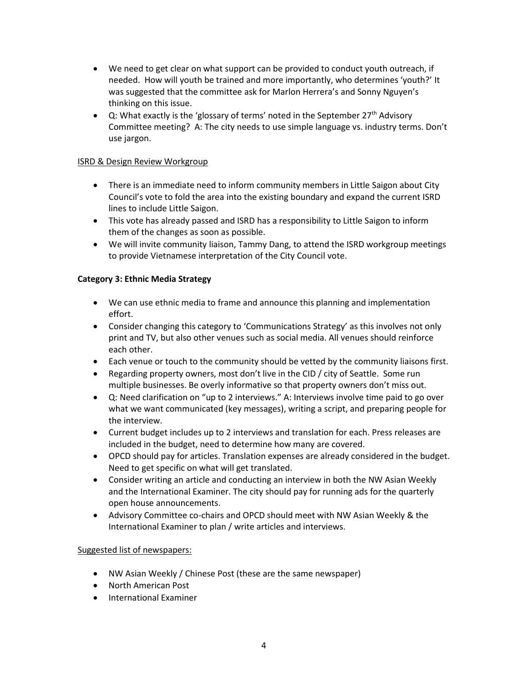- We need to get clear on what support can be provided to conduct youth outreach, if needed. How will youth be trained and more importantly, who determines 'youth?' It was suggested that the committee ask for Marlon Herrera's and Sonny Nguyen's thinking on this issue.
- Q: What exactly is the 'glossary of terms' noted in the September 27<sup>th</sup> Advisory Committee meeting? A: The city needs to use simple language vs. industry terms. Don't use jargon.

### ISRD & Design Review Workgroup

- There is an immediate need to inform community members in Little Saigon about City Council's vote to fold the area into the existing boundary and expand the current ISRD lines to include Little Saigon.
- This vote has already passed and ISRD has a responsibility to Little Saigon to inform them of the changes as soon as possible.
- We will invite community liaison, Tammy Dang, to attend the ISRD workgroup meetings to provide Vietnamese interpretation of the City Council vote.

### **Category 3: Ethnic Media Strategy**

- We can use ethnic media to frame and announce this planning and implementation effort.
- Consider changing this category to 'Communications Strategy' as this involves not only print and TV, but also other venues such as social media. All venues should reinforce each other.
- Each venue or touch to the community should be vetted by the community liaisons first.
- Regarding property owners, most don't live in the CID / city of Seattle. Some run multiple businesses. Be overly informative so that property owners don't miss out.
- Q: Need clarification on "up to 2 interviews." A: Interviews involve time paid to go over what we want communicated (key messages), writing a script, and preparing people for the interview.
- Current budget includes up to 2 interviews and translation for each. Press releases are included in the budget, need to determine how many are covered.
- OPCD should pay for articles. Translation expenses are already considered in the budget. Need to get specific on what will get translated.
- Consider writing an article and conducting an interview in both the NW Asian Weekly and the International Examiner. The city should pay for running ads for the quarterly open house announcements.
- Advisory Committee co-chairs and OPCD should meet with NW Asian Weekly & the International Examiner to plan / write articles and interviews.

### Suggested list of newspapers:

- NW Asian Weekly / Chinese Post (these are the same newspaper)
- North American Post
- International Examiner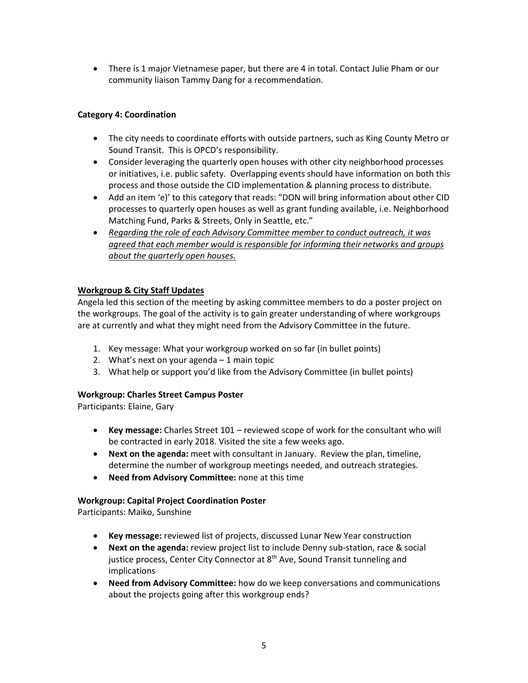• There is 1 major Vietnamese paper, but there are 4 in total. Contact Julie Pham or our community liaison Tammy Dang for a recommendation.

# **Category 4: Coordination**

- The city needs to coordinate efforts with outside partners, such as King County Metro or Sound Transit. This is OPCD's responsibility.
- Consider leveraging the quarterly open houses with other city neighborhood processes or initiatives, i.e. public safety. Overlapping events should have information on both this process and those outside the CID implementation & planning process to distribute.
- Add an item 'e)' to this category that reads: "DON will bring information about other CID processes to quarterly open houses as well as grant funding available, i.e. Neighborhood Matching Fund, Parks & Streets, Only in Seattle, etc."
- *Regarding the role of each Advisory Committee member to conduct outreach, it was agreed that each member would is responsible for informing their networks and groups about the quarterly open houses.*

## **Workgroup & City Staff Updates**

Angela led this section of the meeting by asking committee members to do a poster project on the workgroups. The goal of the activity is to gain greater understanding of where workgroups are at currently and what they might need from the Advisory Committee in the future.

- 1. Key message: What your workgroup worked on so far (in bullet points)
- 2. What's next on your agenda  $-1$  main topic
- 3. What help or support you'd like from the Advisory Committee (in bullet points)

## **Workgroup: Charles Street Campus Poster**

Participants: Elaine, Gary

- **Key message:** Charles Street 101 reviewed scope of work for the consultant who will be contracted in early 2018. Visited the site a few weeks ago.
- **Next on the agenda:** meet with consultant in January. Review the plan, timeline, determine the number of workgroup meetings needed, and outreach strategies.
- **Need from Advisory Committee:** none at this time

## **Workgroup: Capital Project Coordination Poster**

Participants: Maiko, Sunshine

- **Key message:** reviewed list of projects, discussed Lunar New Year construction
- **Next on the agenda:** review project list to include Denny sub-station, race & social justice process, Center City Connector at 8<sup>th</sup> Ave, Sound Transit tunneling and implications
- **Need from Advisory Committee:** how do we keep conversations and communications about the projects going after this workgroup ends?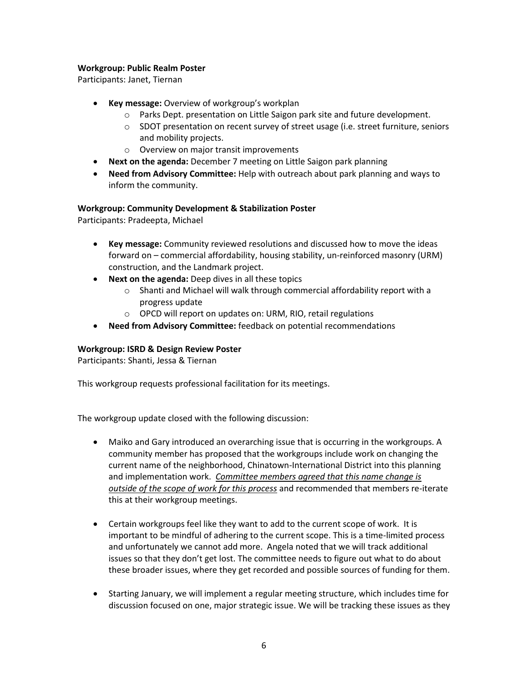### **Workgroup: Public Realm Poster**

Participants: Janet, Tiernan

- **Key message:** Overview of workgroup's workplan
	- o Parks Dept. presentation on Little Saigon park site and future development.
	- o SDOT presentation on recent survey of street usage (i.e. street furniture, seniors and mobility projects.
	- o Overview on major transit improvements
- **Next on the agenda:** December 7 meeting on Little Saigon park planning
- **Need from Advisory Committee:** Help with outreach about park planning and ways to inform the community.

### **Workgroup: Community Development & Stabilization Poster**

Participants: Pradeepta, Michael

- **Key message:** Community reviewed resolutions and discussed how to move the ideas forward on – commercial affordability, housing stability, un-reinforced masonry (URM) construction, and the Landmark project.
- **Next on the agenda:** Deep dives in all these topics
	- o Shanti and Michael will walk through commercial affordability report with a progress update
	- o OPCD will report on updates on: URM, RIO, retail regulations
- **Need from Advisory Committee:** feedback on potential recommendations

### **Workgroup: ISRD & Design Review Poster**

Participants: Shanti, Jessa & Tiernan

This workgroup requests professional facilitation for its meetings.

The workgroup update closed with the following discussion:

- Maiko and Gary introduced an overarching issue that is occurring in the workgroups. A community member has proposed that the workgroups include work on changing the current name of the neighborhood, Chinatown-International District into this planning and implementation work. *Committee members agreed that this name change is outside of the scope of work for this process* and recommended that members re-iterate this at their workgroup meetings.
- Certain workgroups feel like they want to add to the current scope of work. It is important to be mindful of adhering to the current scope. This is a time-limited process and unfortunately we cannot add more. Angela noted that we will track additional issues so that they don't get lost. The committee needs to figure out what to do about these broader issues, where they get recorded and possible sources of funding for them.
- Starting January, we will implement a regular meeting structure, which includes time for discussion focused on one, major strategic issue. We will be tracking these issues as they